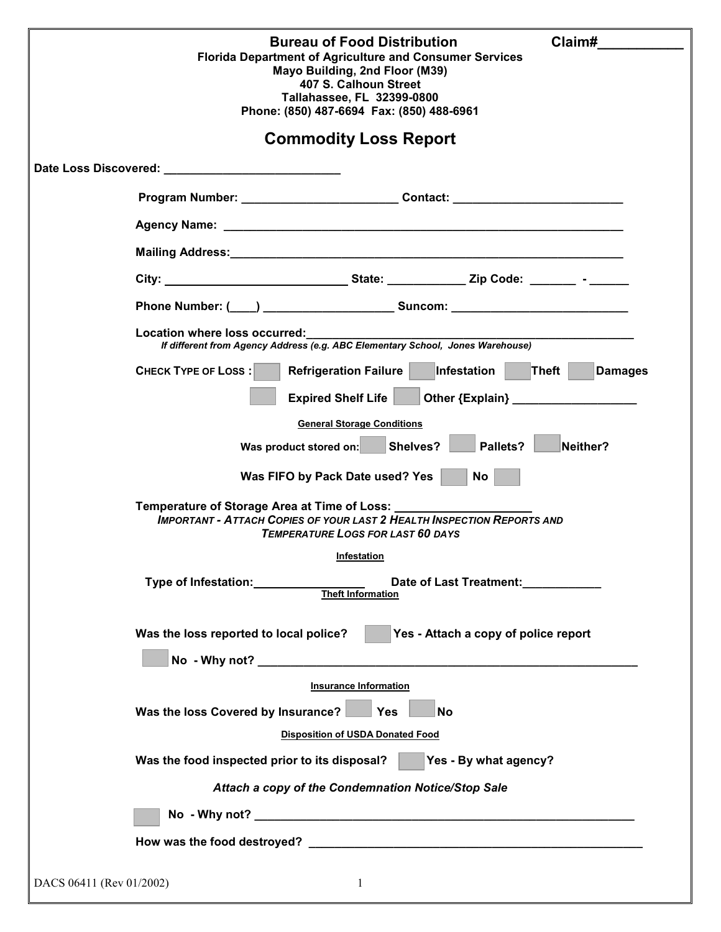| Claim#<br><b>Bureau of Food Distribution</b><br><b>Florida Department of Agriculture and Consumer Services</b><br>Mayo Building, 2nd Floor (M39)<br>407 S. Calhoun Street<br>Tallahassee, FL 32399-0800<br>Phone: (850) 487-6694 Fax: (850) 488-6961 |                                                                                                                                                                                                                                |  |  |  |  |  |
|------------------------------------------------------------------------------------------------------------------------------------------------------------------------------------------------------------------------------------------------------|--------------------------------------------------------------------------------------------------------------------------------------------------------------------------------------------------------------------------------|--|--|--|--|--|
| <b>Commodity Loss Report</b>                                                                                                                                                                                                                         |                                                                                                                                                                                                                                |  |  |  |  |  |
|                                                                                                                                                                                                                                                      | Date Loss Discovered: National Property of the United States of the United States and Discovered States and Discovered States and Discovered States and Discovered States and Discovered States and Discovered States and Disc |  |  |  |  |  |
|                                                                                                                                                                                                                                                      | Program Number: _________________________Contact: ______________________________                                                                                                                                               |  |  |  |  |  |
|                                                                                                                                                                                                                                                      |                                                                                                                                                                                                                                |  |  |  |  |  |
|                                                                                                                                                                                                                                                      | Mailing Address: 2008 Communication of the Address of The Address of The Address of The Address of The Address                                                                                                                 |  |  |  |  |  |
|                                                                                                                                                                                                                                                      |                                                                                                                                                                                                                                |  |  |  |  |  |
|                                                                                                                                                                                                                                                      |                                                                                                                                                                                                                                |  |  |  |  |  |
| Location where loss occurred:<br>المالية المستعدد العربية المستعدد المستعدد المستعدد المستعدد المستعدد المستعدد المستعدد المستعدد ال<br>If different from Agency Address (e.g. ABC Elementary School,  Jones Warehouse)                              |                                                                                                                                                                                                                                |  |  |  |  |  |
|                                                                                                                                                                                                                                                      | <b>CHECK TYPE OF LOSS:</b><br><b>Refrigeration Failure</b><br>Infestation<br>Theft $ $<br><b>Damages</b>                                                                                                                       |  |  |  |  |  |
|                                                                                                                                                                                                                                                      | <b>Expired Shelf Life</b>                                                                                                                                                                                                      |  |  |  |  |  |
|                                                                                                                                                                                                                                                      | <b>General Storage Conditions</b>                                                                                                                                                                                              |  |  |  |  |  |
|                                                                                                                                                                                                                                                      | Pallets?<br>Was product stored on: Shelves?<br>Neither?                                                                                                                                                                        |  |  |  |  |  |
|                                                                                                                                                                                                                                                      | Was FIFO by Pack Date used? Yes<br>No                                                                                                                                                                                          |  |  |  |  |  |
|                                                                                                                                                                                                                                                      | <b>IMPORTANT - ATTACH COPIES OF YOUR LAST 2 HEALTH INSPECTION REPORTS AND</b><br><b>TEMPERATURE LOGS FOR LAST 60 DAYS</b>                                                                                                      |  |  |  |  |  |
|                                                                                                                                                                                                                                                      | <b>Infestation</b>                                                                                                                                                                                                             |  |  |  |  |  |
|                                                                                                                                                                                                                                                      | Type of Infestation: Type of Infestation:<br>Date of Last Treatment: 1997<br>Theft Information                                                                                                                                 |  |  |  |  |  |
|                                                                                                                                                                                                                                                      | Yes - Attach a copy of police report<br>Was the loss reported to local police?                                                                                                                                                 |  |  |  |  |  |
|                                                                                                                                                                                                                                                      |                                                                                                                                                                                                                                |  |  |  |  |  |
|                                                                                                                                                                                                                                                      | <b>Insurance Information</b><br>Was the loss Covered by Insurance?<br><b>No. 1998</b><br><b>No</b>                                                                                                                             |  |  |  |  |  |
|                                                                                                                                                                                                                                                      | <b>Disposition of USDA Donated Food</b>                                                                                                                                                                                        |  |  |  |  |  |
|                                                                                                                                                                                                                                                      | Yes - By what agency?<br>Was the food inspected prior to its disposal?                                                                                                                                                         |  |  |  |  |  |
|                                                                                                                                                                                                                                                      | Attach a copy of the Condemnation Notice/Stop Sale                                                                                                                                                                             |  |  |  |  |  |
|                                                                                                                                                                                                                                                      |                                                                                                                                                                                                                                |  |  |  |  |  |
|                                                                                                                                                                                                                                                      |                                                                                                                                                                                                                                |  |  |  |  |  |
|                                                                                                                                                                                                                                                      |                                                                                                                                                                                                                                |  |  |  |  |  |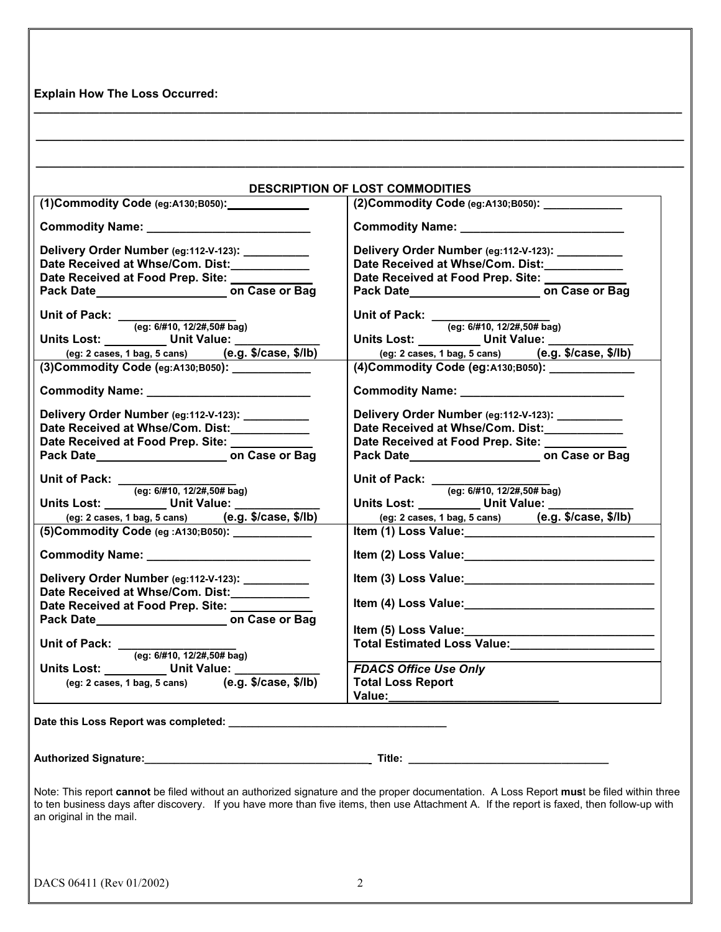**Explain How The Loss Occurred:** 

| (1)Commodity Code (eg:A130;B050): COMMODIE                                           | (2) Commodity Code (eg:A130;B050): ____________                                                                                                                                                                                |  |  |
|--------------------------------------------------------------------------------------|--------------------------------------------------------------------------------------------------------------------------------------------------------------------------------------------------------------------------------|--|--|
|                                                                                      |                                                                                                                                                                                                                                |  |  |
|                                                                                      |                                                                                                                                                                                                                                |  |  |
| Delivery Order Number (eg:112-V-123): __________                                     | Delivery Order Number (eg:112-V-123): _________                                                                                                                                                                                |  |  |
| Date Received at Whse/Com. Dist:____________                                         | Date Received at Whse/Com. Dist:____________                                                                                                                                                                                   |  |  |
| Date Received at Food Prep. Site: _______                                            | Date Received at Food Prep. Site: _______                                                                                                                                                                                      |  |  |
|                                                                                      |                                                                                                                                                                                                                                |  |  |
| Unit of Pack: $_{(eg: 6/\#10, 12/2\#, 50\# \text{bag})}$                             | Unit of Pack: $_{(eg: 6/#10, 12/2#, 50# bag)}$                                                                                                                                                                                 |  |  |
|                                                                                      |                                                                                                                                                                                                                                |  |  |
| Units Lost: _________ Unit Value: _________                                          | Units Lost: Unit Value: _______                                                                                                                                                                                                |  |  |
| (eg: 2 cases, 1 bag, 5 cans) (e.g. \$/case, \$/lb)                                   | (eg: 2 cases, 1 bag, 5 cans) (e.g. \$/case, \$/lb)                                                                                                                                                                             |  |  |
| (3) Commodity Code (eg:A130;B050): ___________                                       | (4) Commodity Code (eg: A130; B050): _____________                                                                                                                                                                             |  |  |
|                                                                                      |                                                                                                                                                                                                                                |  |  |
| Delivery Order Number (eg:112-V-123): _________                                      | Delivery Order Number (eg:112-V-123): _________                                                                                                                                                                                |  |  |
| Date Received at Whse/Com. Dist:____________                                         | Date Received at Whse/Com. Dist:____________                                                                                                                                                                                   |  |  |
| Date Received at Food Prep. Site: ________                                           | Date Received at Food Prep. Site: _______                                                                                                                                                                                      |  |  |
|                                                                                      |                                                                                                                                                                                                                                |  |  |
| Unit of Pack: $\frac{1}{(eg: 6/410, 12/24, 50/4 \text{ bag})}$                       | Unit of Pack: $\frac{1}{(eg: 6/410, 12/24, 50/4 \text{ bag})}$                                                                                                                                                                 |  |  |
|                                                                                      |                                                                                                                                                                                                                                |  |  |
| Units Lost: Unit Value: _______                                                      |                                                                                                                                                                                                                                |  |  |
| (eg: 2 cases, 1 bag, 5 cans) (e.g. \$/case, \$/lb)                                   | (eg: 2 cases, 1 bag, 5 cans) (e.g. \$/case, \$/lb)                                                                                                                                                                             |  |  |
| (5) Commodity Code (eg : A130; B050): ____________                                   |                                                                                                                                                                                                                                |  |  |
|                                                                                      | Item (2) Loss Value: Management Control of the United States of the United States and Control of the United States of the United States and Control of the United States and United States and United States and United States |  |  |
| Delivery Order Number (eg:112-V-123): __________                                     |                                                                                                                                                                                                                                |  |  |
| Date Received at Whse/Com. Dist:____________                                         |                                                                                                                                                                                                                                |  |  |
| Date Received at Food Prep. Site:                                                    | Item (4) Loss Value: Management Control of the United States and Control of the United States and Control of the United States and Control of the United States and Control of the United States and Control of the United Sta |  |  |
|                                                                                      |                                                                                                                                                                                                                                |  |  |
|                                                                                      | Item (5) Loss Value: Management Control of the Management Control of the Management Control of the Management Control of the Management Control of the Management Control of the Management Control of the Management Control  |  |  |
| Unit of Pack: $_{(eg: 6/\#10, 12/2\#, 50\# \text{bag})}$                             | Total Estimated Loss Value:<br>Loss Value:                                                                                                                                                                                     |  |  |
|                                                                                      |                                                                                                                                                                                                                                |  |  |
| Units Lost: _________ Unit Value: _______                                            | <b>FDACS Office Use Only</b>                                                                                                                                                                                                   |  |  |
| (eg: $2 \text{ cases}, 1 \text{ bag}, 5 \text{ cans}$ ) (e.g. $\frac{5}{\sqrt{3}}$ ) | <b>Total Loss Report</b>                                                                                                                                                                                                       |  |  |
|                                                                                      |                                                                                                                                                                                                                                |  |  |
|                                                                                      |                                                                                                                                                                                                                                |  |  |
|                                                                                      |                                                                                                                                                                                                                                |  |  |
|                                                                                      |                                                                                                                                                                                                                                |  |  |

**\_\_\_\_\_\_\_\_\_\_\_\_\_\_\_\_\_\_\_\_\_\_\_\_\_\_\_\_\_\_\_\_\_\_\_\_\_\_\_\_\_\_\_\_\_\_\_\_\_\_\_\_\_\_\_\_\_\_\_\_\_\_\_\_\_\_\_\_\_\_\_\_\_\_\_\_\_\_\_\_\_\_\_\_\_\_\_\_\_\_\_\_\_\_\_\_\_\_\_** 

**\_\_\_\_\_\_\_\_\_\_\_\_\_\_\_\_\_\_\_\_\_\_\_\_\_\_\_\_\_\_\_\_\_\_\_\_\_\_\_\_\_\_\_\_\_\_\_\_\_\_\_\_\_\_\_\_\_\_\_\_\_\_\_\_\_\_\_\_\_\_\_\_\_\_\_\_\_\_\_\_\_\_\_\_\_\_\_\_\_\_\_\_\_\_\_\_\_\_\_** 

Note: This report **cannot** be filed without an authorized signature and the proper documentation. A Loss Report **mus**t be filed within three to ten business days after discovery. If you have more than five items, then use Attachment A. If the report is faxed, then follow-up with an original in the mail.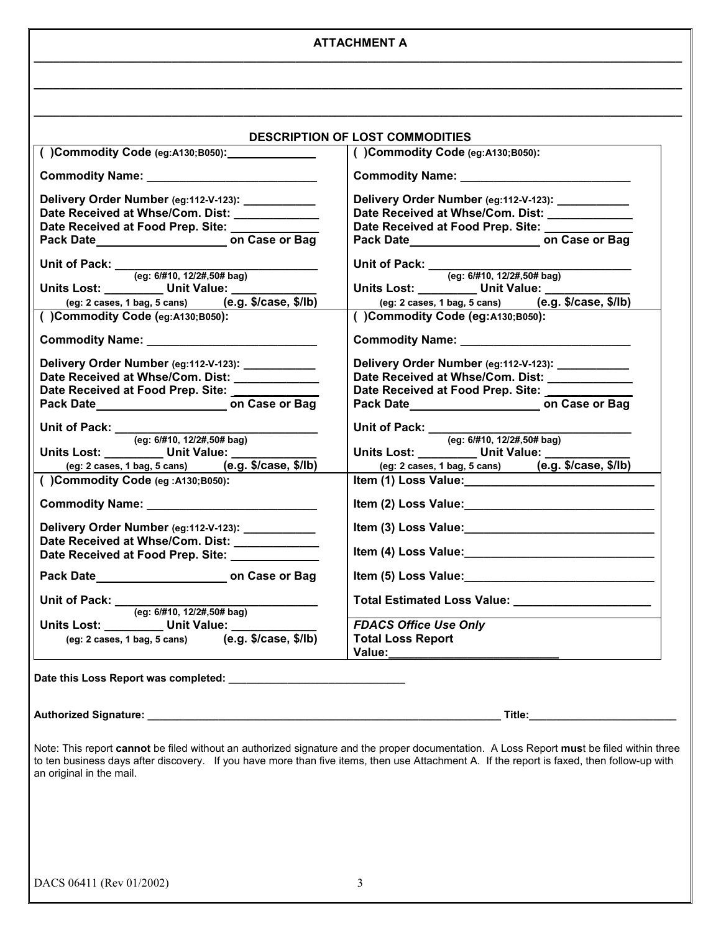#### **ATTACHMENT A \_\_\_\_\_\_\_\_\_\_\_\_\_\_\_\_\_\_\_\_\_\_\_\_\_\_\_\_\_\_\_\_\_\_\_\_\_\_\_\_\_\_\_\_\_\_\_\_\_\_\_\_\_\_\_\_\_\_\_\_\_\_\_\_\_\_\_\_\_\_\_\_\_\_\_\_\_\_\_\_\_\_\_\_\_\_\_\_\_\_\_\_\_\_\_\_\_\_\_**

**\_\_\_\_\_\_\_\_\_\_\_\_\_\_\_\_\_\_\_\_\_\_\_\_\_\_\_\_\_\_\_\_\_\_\_\_\_\_\_\_\_\_\_\_\_\_\_\_\_\_\_\_\_\_\_\_\_\_\_\_\_\_\_\_\_\_\_\_\_\_\_\_\_\_\_\_\_\_\_\_\_\_\_\_\_\_\_\_\_\_\_\_\_\_\_\_\_\_\_** 

**\_\_\_\_\_\_\_\_\_\_\_\_\_\_\_\_\_\_\_\_\_\_\_\_\_\_\_\_\_\_\_\_\_\_\_\_\_\_\_\_\_\_\_\_\_\_\_\_\_\_\_\_\_\_\_\_\_\_\_\_\_\_\_\_\_\_\_\_\_\_\_\_\_\_\_\_\_\_\_\_\_\_\_\_\_\_\_\_\_\_\_\_\_\_\_\_\_\_\_** 

|                                                                                                | <b>DESCRIPTION OF LOST COMMODITIES</b><br>()Commodity Code (eg:A130;B050):                                                                                                                                                     |  |  |
|------------------------------------------------------------------------------------------------|--------------------------------------------------------------------------------------------------------------------------------------------------------------------------------------------------------------------------------|--|--|
|                                                                                                |                                                                                                                                                                                                                                |  |  |
|                                                                                                |                                                                                                                                                                                                                                |  |  |
| Delivery Order Number (eg:112-V-123): __________                                               | Delivery Order Number (eg:112-V-123): __________                                                                                                                                                                               |  |  |
| Date Received at Whse/Com. Dist: _____________                                                 | Date Received at Whse/Com. Dist: ____________                                                                                                                                                                                  |  |  |
| Date Received at Food Prep. Site: National Prep. 8.                                            | Date Received at Food Prep. Site: ___________                                                                                                                                                                                  |  |  |
|                                                                                                |                                                                                                                                                                                                                                |  |  |
| Unit of Pack: <u>(eg: 6/#10, 12/2#,50# bag)</u>                                                | Unit of Pack: $_{(eg: 6/\#10, 12/2\#, 50\# \text{bag})}$                                                                                                                                                                       |  |  |
|                                                                                                |                                                                                                                                                                                                                                |  |  |
| Units Lost: _________ Unit Value: __________                                                   | Units Lost: ________ Unit Value: __________                                                                                                                                                                                    |  |  |
| (eg: 2 cases, 1 bag, 5 cans) $(e.g. $/case, $/lb)$                                             | (eg: 2 cases, 1 bag, 5 cans) (e.g. \$/case, \$/lb)                                                                                                                                                                             |  |  |
| ()Commodity Code (eg:A130;B050):                                                               | ( )Commodity Code (eg:A130;B050):                                                                                                                                                                                              |  |  |
|                                                                                                |                                                                                                                                                                                                                                |  |  |
| Delivery Order Number (eg:112-V-123): ___________                                              | Delivery Order Number (eg:112-V-123): ___________                                                                                                                                                                              |  |  |
| Date Received at Whse/Com. Dist: ____________                                                  | Date Received at Whse/Com. Dist: ____________                                                                                                                                                                                  |  |  |
| Date Received at Food Prep. Site: __________                                                   | Date Received at Food Prep. Site: _________                                                                                                                                                                                    |  |  |
|                                                                                                |                                                                                                                                                                                                                                |  |  |
|                                                                                                |                                                                                                                                                                                                                                |  |  |
| Unit of Pack: <u>(eg: 6/#10, 12/2#,50# bag)</u><br>Units Lost: _________ Unit Value: _________ | Unit of Pack: $\frac{(\text{eg: } 6l\#10, 12l2\#, 50\# \text{bag})}{\text{units Lost:}}$                                                                                                                                       |  |  |
|                                                                                                |                                                                                                                                                                                                                                |  |  |
|                                                                                                |                                                                                                                                                                                                                                |  |  |
| (eg: 2 cases, 1 bag, 5 cans) $(e.g. $/case, $/lb)$                                             | (eg: 2 cases, 1 bag, 5 cans) (e.g. \$/case, \$/lb)                                                                                                                                                                             |  |  |
| ()Commodity Code (eg:A130;B050):                                                               | Item (1) Loss Value: Maria Maria Maria Maria Maria Maria Maria Maria Maria Maria Maria Maria Maria Maria Maria                                                                                                                 |  |  |
| Commodity Name: Van Alexander Andrew Manuscript                                                | Item (2) Loss Value: Marian Marian Marian Marian Marian Marian Marian Marian Marian Marian Marian Marian Maria                                                                                                                 |  |  |
| Delivery Order Number (eg:112-V-123): ___________                                              | Item (3) Loss Value: Management Control of the United States and Control of the United States and Control of the United States and Control of the United States and Control of the United States and Control of the United Sta |  |  |
| Date Received at Whse/Com. Dist: _____________                                                 |                                                                                                                                                                                                                                |  |  |
| Date Received at Food Prep. Site: <b>Network</b>                                               | Item (4) Loss Value: Maria Maria Maria Maria Maria Maria Maria Maria Maria Maria Maria Maria Maria Maria Maria                                                                                                                 |  |  |
| Pack Date <b>Date</b> on Case or Bag                                                           | Item (5) Loss Value: Management Control of the Management Control of the Management Control of the Management Control of the Management Control of the Management Control of the Management Control of the Management Control  |  |  |
| Unit of Pack: $_{(eg: 6/#10, 12/2#, 50# bag)}$                                                 | Total Estimated Loss Value: Maria Maria Maria Maria Maria Maria Maria Maria Maria Maria Maria Maria Maria Mari                                                                                                                 |  |  |
|                                                                                                |                                                                                                                                                                                                                                |  |  |
| <u>Units Lost: ________</u> Unit Value: ________                                               | <b>FDACS Office Use Only</b>                                                                                                                                                                                                   |  |  |
| (eg: 2 cases, 1 bag, 5 cans) (e.g. \$/case, \$/lb)                                             | <b>Total Loss Report</b>                                                                                                                                                                                                       |  |  |
|                                                                                                | Value:_______                                                                                                                                                                                                                  |  |  |

# **Authorized Signature: \_\_\_\_\_\_\_\_\_\_\_\_\_\_\_\_\_\_\_\_\_\_\_\_\_\_\_\_\_\_\_\_\_\_\_\_\_\_\_\_\_\_\_\_\_\_\_\_\_\_\_\_\_\_\_\_\_\_\_\_ Title:\_\_\_\_\_\_\_\_\_\_\_\_\_\_\_\_\_\_\_\_\_\_\_\_\_**

Note: This report **cannot** be filed without an authorized signature and the proper documentation. A Loss Report **mus**t be filed within three to ten business days after discovery. If you have more than five items, then use Attachment A. If the report is faxed, then follow-up with an original in the mail.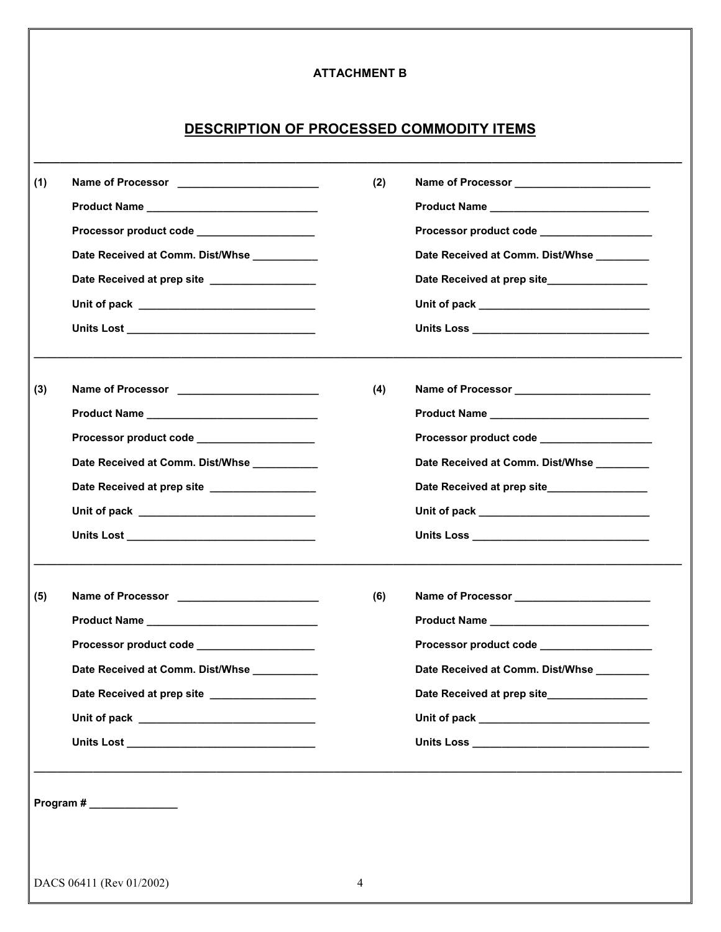### **ATTACHMENT B**

# **DESCRIPTION OF PROCESSED COMMODITY ITEMS**

**\_\_\_\_\_\_\_\_\_\_\_\_\_\_\_\_\_\_\_\_\_\_\_\_\_\_\_\_\_\_\_\_\_\_\_\_\_\_\_\_\_\_\_\_\_\_\_\_\_\_\_\_\_\_\_\_\_\_\_\_\_\_\_\_\_\_\_\_\_\_\_\_\_\_\_\_\_\_\_\_\_\_\_\_\_\_\_\_\_\_\_\_\_\_\_\_\_\_\_** 

| (1) | Name of Processor _____________________________<br>Product Name __________________________________<br>Processor product code ___________________<br>Date Received at Comm. Dist/Whse _________<br>Date Received at prep site _________________                                                                                                                                                                                                         | (2) | Name of Processor<br>Mame of Processor<br>Product Name<br>Processor product code __________________<br>Date Received at Comm. Dist/Whse ________<br>Date Received at prep site_________________                                                                                                                                                                                                                                                                                                                                                 |
|-----|--------------------------------------------------------------------------------------------------------------------------------------------------------------------------------------------------------------------------------------------------------------------------------------------------------------------------------------------------------------------------------------------------------------------------------------------------------|-----|-------------------------------------------------------------------------------------------------------------------------------------------------------------------------------------------------------------------------------------------------------------------------------------------------------------------------------------------------------------------------------------------------------------------------------------------------------------------------------------------------------------------------------------------------|
| (3) | Processor product code __________________<br>Date Received at Comm. Dist/Whse __________<br>Date Received at prep site ________________                                                                                                                                                                                                                                                                                                                | (4) | Name of Processor ________________________<br>Processor product code ___________________<br>Date Received at Comm. Dist/Whse ________<br>Date Received at prep site_________________                                                                                                                                                                                                                                                                                                                                                            |
| (5) | Product Name __________________________________<br>Processor product code ____________________<br>Date Received at Comm. Dist/Whse _________<br>Date Received at prep site _____<br>Unit of pack <u>such and the set of the set of the set of the set of the set of the set of the set of the set of the set of the set of the set of the set of the set of the set of the set of the set of the set of the set of t</u><br>Program # ________________ | (6) | Name of Processor<br>Product Name _____________________________<br>Processor product code ___________________<br>Date Received at Comm. Dist/Whse<br>Date Received at prep site______<br>Unit of pack <u>the contract of the contract of the contract of the contract of the contract of the contract of the contract of the contract of the contract of the contract of the contract of the contract of the contract of </u><br>Units Loss and the contract of the contract of the contract of the contract of the contract of the contract of |
|     |                                                                                                                                                                                                                                                                                                                                                                                                                                                        |     |                                                                                                                                                                                                                                                                                                                                                                                                                                                                                                                                                 |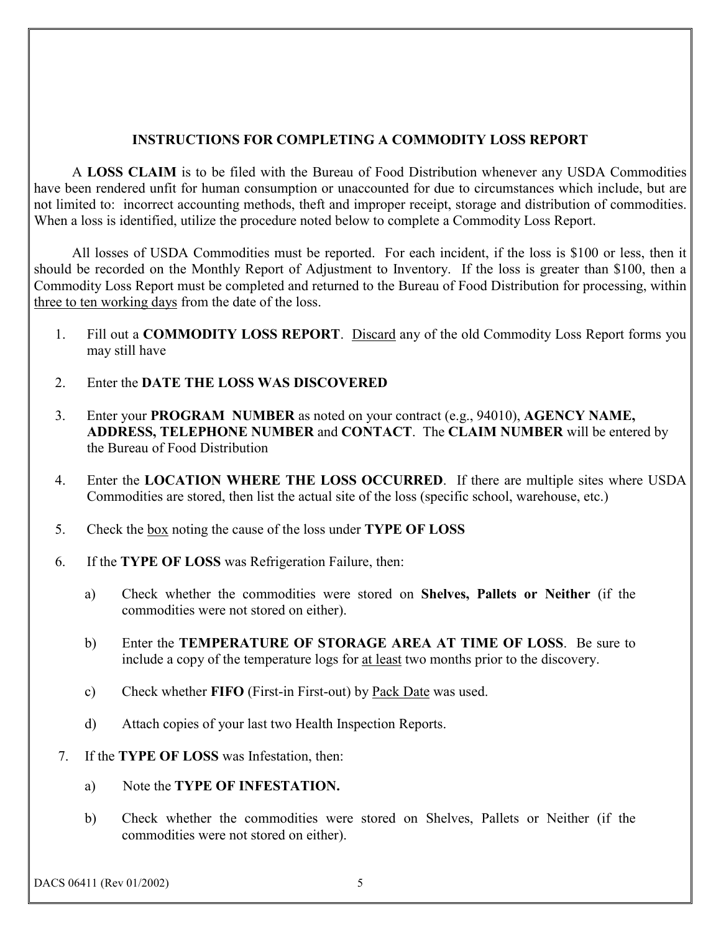### **INSTRUCTIONS FOR COMPLETING A COMMODITY LOSS REPORT**

 A **LOSS CLAIM** is to be filed with the Bureau of Food Distribution whenever any USDA Commodities have been rendered unfit for human consumption or unaccounted for due to circumstances which include, but are not limited to: incorrect accounting methods, theft and improper receipt, storage and distribution of commodities. When a loss is identified, utilize the procedure noted below to complete a Commodity Loss Report.

 All losses of USDA Commodities must be reported. For each incident, if the loss is \$100 or less, then it should be recorded on the Monthly Report of Adjustment to Inventory. If the loss is greater than \$100, then a Commodity Loss Report must be completed and returned to the Bureau of Food Distribution for processing, within three to ten working days from the date of the loss.

- 1. Fill out a **COMMODITY LOSS REPORT**. Discard any of the old Commodity Loss Report forms you may still have
- 2. Enter the **DATE THE LOSS WAS DISCOVERED**
- 3. Enter your **PROGRAM NUMBER** as noted on your contract (e.g., 94010), **AGENCY NAME, ADDRESS, TELEPHONE NUMBER** and **CONTACT**. The **CLAIM NUMBER** will be entered by the Bureau of Food Distribution
- 4. Enter the **LOCATION WHERE THE LOSS OCCURRED**. If there are multiple sites where USDA Commodities are stored, then list the actual site of the loss (specific school, warehouse, etc.)
- 5. Check the box noting the cause of the loss under **TYPE OF LOSS**
- 6. If the **TYPE OF LOSS** was Refrigeration Failure, then:
	- a) Check whether the commodities were stored on **Shelves, Pallets or Neither** (if the commodities were not stored on either).
	- b) Enter the **TEMPERATURE OF STORAGE AREA AT TIME OF LOSS**. Be sure to include a copy of the temperature logs for at least two months prior to the discovery.
	- c) Check whether **FIFO** (First-in First-out) by Pack Date was used.
	- d) Attach copies of your last two Health Inspection Reports.
- 7. If the **TYPE OF LOSS** was Infestation, then:
	- a) Note the **TYPE OF INFESTATION.**
	- b) Check whether the commodities were stored on Shelves, Pallets or Neither (if the commodities were not stored on either).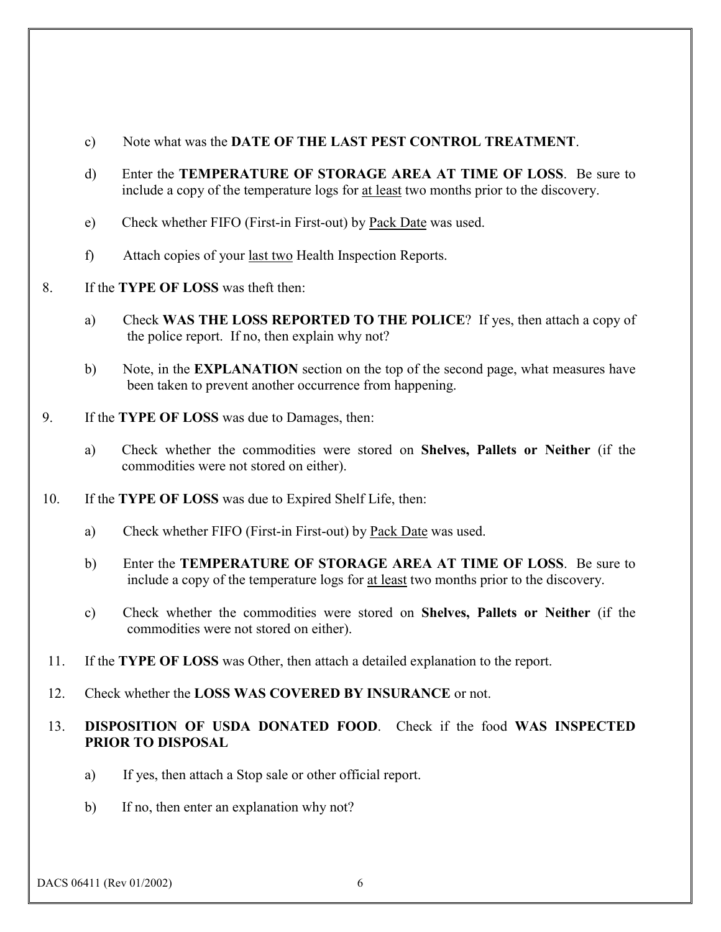- c) Note what was the **DATE OF THE LAST PEST CONTROL TREATMENT**.
- d) Enter the **TEMPERATURE OF STORAGE AREA AT TIME OF LOSS**. Be sure to include a copy of the temperature logs for at least two months prior to the discovery.
- e) Check whether FIFO (First-in First-out) by Pack Date was used.
- f) Attach copies of your last two Health Inspection Reports.
- 8. If the **TYPE OF LOSS** was theft then:
	- a) Check **WAS THE LOSS REPORTED TO THE POLICE**? If yes, then attach a copy of the police report. If no, then explain why not?
	- b) Note, in the **EXPLANATION** section on the top of the second page, what measures have been taken to prevent another occurrence from happening.
- 9. If the **TYPE OF LOSS** was due to Damages, then:
	- a) Check whether the commodities were stored on **Shelves, Pallets or Neither** (if the commodities were not stored on either).
- 10. If the **TYPE OF LOSS** was due to Expired Shelf Life, then:
	- a) Check whether FIFO (First-in First-out) by Pack Date was used.
	- b) Enter the **TEMPERATURE OF STORAGE AREA AT TIME OF LOSS**. Be sure to include a copy of the temperature logs for at least two months prior to the discovery.
	- c) Check whether the commodities were stored on **Shelves, Pallets or Neither** (if the commodities were not stored on either).
- 11. If the **TYPE OF LOSS** was Other, then attach a detailed explanation to the report.
- 12. Check whether the **LOSS WAS COVERED BY INSURANCE** or not.

## 13. **DISPOSITION OF USDA DONATED FOOD**. Check if the food **WAS INSPECTED PRIOR TO DISPOSAL**

- a) If yes, then attach a Stop sale or other official report.
- b) If no, then enter an explanation why not?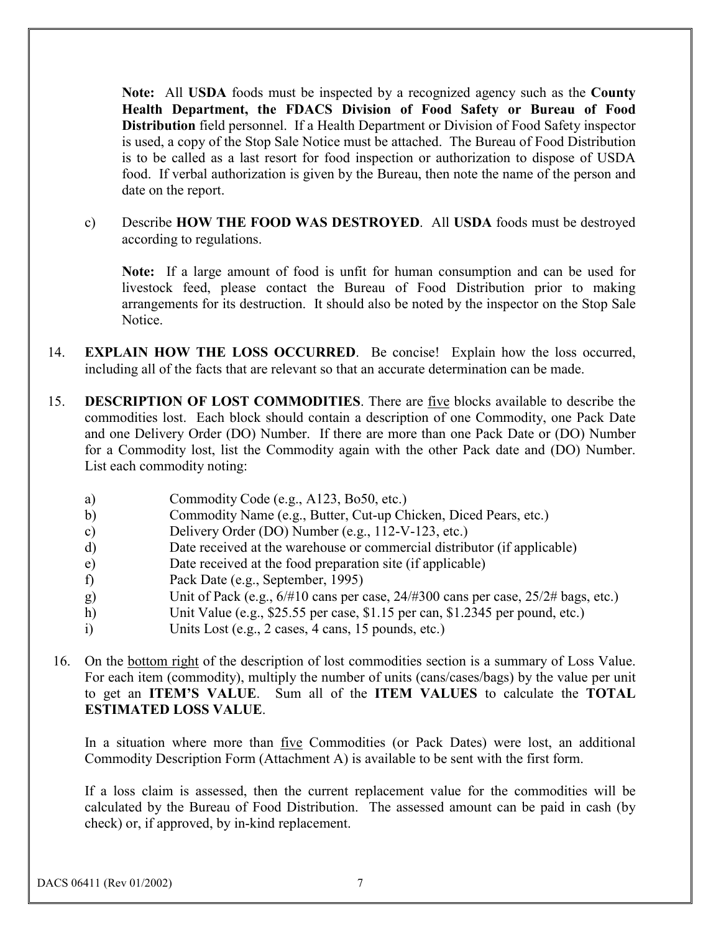**Note:** All **USDA** foods must be inspected by a recognized agency such as the **County Health Department, the FDACS Division of Food Safety or Bureau of Food Distribution** field personnel. If a Health Department or Division of Food Safety inspector is used, a copy of the Stop Sale Notice must be attached. The Bureau of Food Distribution is to be called as a last resort for food inspection or authorization to dispose of USDA food. If verbal authorization is given by the Bureau, then note the name of the person and date on the report.

c) Describe **HOW THE FOOD WAS DESTROYED**. All **USDA** foods must be destroyed according to regulations.

**Note:** If a large amount of food is unfit for human consumption and can be used for livestock feed, please contact the Bureau of Food Distribution prior to making arrangements for its destruction. It should also be noted by the inspector on the Stop Sale **Notice** 

- 14. **EXPLAIN HOW THE LOSS OCCURRED**. Be concise! Explain how the loss occurred, including all of the facts that are relevant so that an accurate determination can be made.
- 15. **DESCRIPTION OF LOST COMMODITIES**. There are five blocks available to describe the commodities lost. Each block should contain a description of one Commodity, one Pack Date and one Delivery Order (DO) Number. If there are more than one Pack Date or (DO) Number for a Commodity lost, list the Commodity again with the other Pack date and (DO) Number. List each commodity noting:
	- a) Commodity Code (e.g., A123, Bo50, etc.)
	- b) Commodity Name (e.g., Butter, Cut-up Chicken, Diced Pears, etc.)
	- c) Delivery Order (DO) Number (e.g., 112-V-123, etc.)
	- d) Date received at the warehouse or commercial distributor (if applicable)
	- e) Date received at the food preparation site (if applicable)
	- f) Pack Date (e.g., September, 1995)
	- g) Unit of Pack (e.g., 6/#10 cans per case, 24/#300 cans per case, 25/2# bags, etc.)
	- h) Unit Value (e.g., \$25.55 per case, \$1.15 per can, \$1.2345 per pound, etc.)
	- i) Units Lost (e.g., 2 cases, 4 cans, 15 pounds, etc.)
- 16. On the bottom right of the description of lost commodities section is a summary of Loss Value. For each item (commodity), multiply the number of units (cans/cases/bags) by the value per unit to get an **ITEM'S VALUE**. Sum all of the **ITEM VALUES** to calculate the **TOTAL ESTIMATED LOSS VALUE**.

In a situation where more than five Commodities (or Pack Dates) were lost, an additional Commodity Description Form (Attachment A) is available to be sent with the first form.

If a loss claim is assessed, then the current replacement value for the commodities will be calculated by the Bureau of Food Distribution. The assessed amount can be paid in cash (by check) or, if approved, by in-kind replacement.